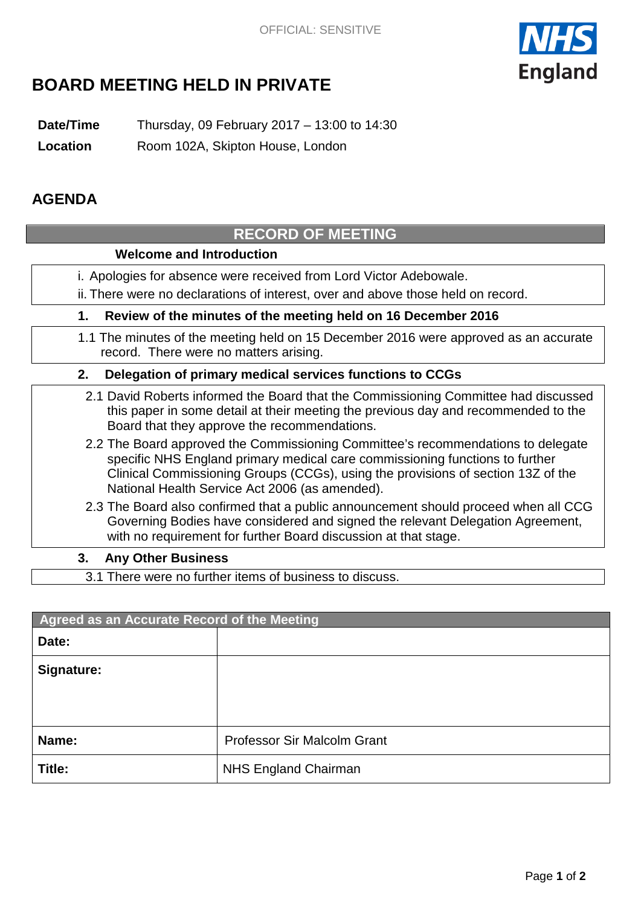

# **BOARD MEETING HELD IN PRIVATE**

**Date/Time** Thursday, 09 February 2017 – 13:00 to 14:30

**Location** Room 102A, Skipton House, London

### **AGENDA**

## **RECORD OF MEETING Welcome and Introduction** i. Apologies for absence were received from Lord Victor Adebowale. ii. There were no declarations of interest, over and above those held on record. **1. Review of the minutes of the meeting held on 16 December 2016** 1.1 The minutes of the meeting held on 15 December 2016 were approved as an accurate record. There were no matters arising. **2. Delegation of primary medical services functions to CCGs** 2.1 David Roberts informed the Board that the Commissioning Committee had discussed this paper in some detail at their meeting the previous day and recommended to the Board that they approve the recommendations. 2.2 The Board approved the Commissioning Committee's recommendations to delegate specific NHS England primary medical care commissioning functions to further Clinical Commissioning Groups (CCGs), using the provisions of section 13Z of the National Health Service Act 2006 (as amended). 2.3 The Board also confirmed that a public announcement should proceed when all CCG Governing Bodies have considered and signed the relevant Delegation Agreement, with no requirement for further Board discussion at that stage.

### **3. Any Other Business**

3.1 There were no further items of business to discuss.

| Agreed as an Accurate Record of the Meeting |                                    |
|---------------------------------------------|------------------------------------|
| Date:                                       |                                    |
| Signature:                                  |                                    |
|                                             |                                    |
|                                             |                                    |
| Name:                                       | <b>Professor Sir Malcolm Grant</b> |
| Title:                                      | <b>NHS England Chairman</b>        |